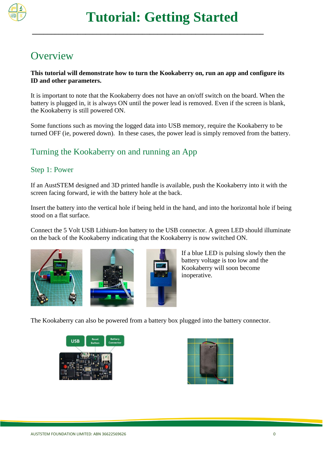

# **Overview**

### **This tutorial will demonstrate how to turn the Kookaberry on, run an app and configure its ID and other parameters.**

It is important to note that the Kookaberry does not have an on/off switch on the board. When the battery is plugged in, it is always ON until the power lead is removed. Even if the screen is blank, the Kookaberry is still powered ON.

Some functions such as moving the logged data into USB memory, require the Kookaberry to be turned OFF (ie, powered down). In these cases, the power lead is simply removed from the battery.

## Turning the Kookaberry on and running an App

### Step 1: Power

If an AustSTEM designed and 3D printed handle is available, push the Kookaberry into it with the screen facing forward, ie with the battery hole at the back.

Insert the battery into the vertical hole if being held in the hand, and into the horizontal hole if being stood on a flat surface.

Connect the 5 Volt USB Lithium-Ion battery to the USB connector. A green LED should illuminate on the back of the Kookaberry indicating that the Kookaberry is now switched ON.







If a blue LED is pulsing slowly then the battery voltage is too low and the Kookaberry will soon become inoperative.

The Kookaberry can also be powered from a battery box plugged into the battery connector.



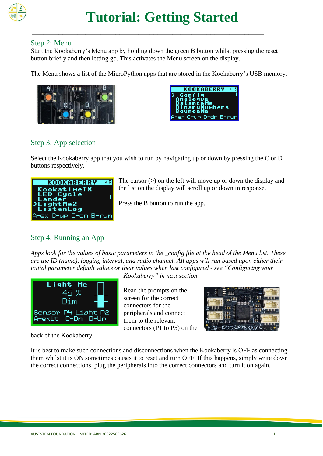

### Step 2: Menu

Start the Kookaberry's Menu app by holding down the green B button whilst pressing the reset button briefly and then letting go. This activates the Menu screen on the display.

**\_\_\_\_\_\_\_\_\_\_\_\_\_\_\_\_\_\_\_\_\_\_\_\_\_\_\_\_\_\_\_\_\_\_\_\_\_\_\_\_\_\_\_\_\_\_\_\_\_\_\_\_\_\_\_\_\_\_\_\_\_**

The Menu shows a list of the MicroPython apps that are stored in the Kookaberry's USB memory.





## Step 3: App selection

Select the Kookaberry app that you wish to run by navigating up or down by pressing the C or D buttons respectively.



The cursor  $(>)$  on the left will move up or down the display and the list on the display will scroll up or down in response.

Press the B button to run the app.

## Step 4: Running an App

*Apps look for the values of basic parameters in the \_config file at the head of the Menu list. These are the ID (name), logging interval, and radio channel. All apps will run based upon either their initial parameter default values or their values when last configured - see "Configuring your* 



back of the Kookaberry.

*Kookaberry" in next section.*

Read the prompts on the screen for the correct connectors for the peripherals and connect them to the relevant connectors (P1 to P5) on the



It is best to make such connections and disconnections when the Kookaberry is OFF as connecting them whilst it is ON sometimes causes it to reset and turn OFF. If this happens, simply write down the correct connections, plug the peripherals into the correct connectors and turn it on again.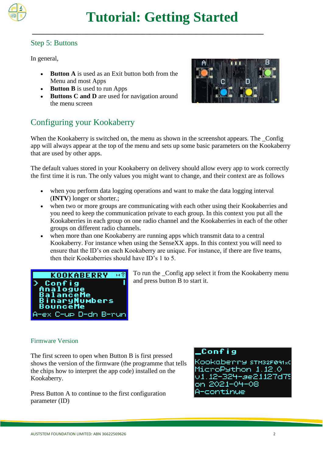

### Step 5: Buttons

In general,

- **Button A** is used as an Exit button both from the Menu and most Apps
- **Button B** is used to run Apps
- **Buttons C and D** are used for navigation around the menu screen



## Configuring your Kookaberry

When the Kookaberry is switched on, the menu as shown in the screenshot appears. The \_Config app will always appear at the top of the menu and sets up some basic parameters on the Kookaberry that are used by other apps.

The default values stored in your Kookaberry on delivery should allow every app to work correctly the first time it is run. The only values you might want to change, and their context are as follows

- when you perform data logging operations and want to make the data logging interval (**INTV**) longer or shorter.;
- when two or more groups are communicating with each other using their Kookaberries and you need to keep the communication private to each group. In this context you put all the Kookaberries in each group on one radio channel and the Kookaberries in each of the other groups on different radio channels.
- when more than one Kookaberry are running apps which transmit data to a central Kookaberry. For instance when using the SenseXX apps. In this context you will need to ensure that the ID's on each Kookaberry are unique. For instance, if there are five teams, then their Kookaberries should have ID's 1 to 5.



To run the \_Config app select it from the Kookaberry menu and press button B to start it.

### Firmware Version

The first screen to open when Button B is first pressed shows the version of the firmware (the programme that tells the chips how to interpret the app code) installed on the Kookaberry.

Press Button A to continue to the first configuration parameter (ID)

### Config

Kookaberry striszføsika MicroPython 1.12.0 u1.12-324-ae21127d79 on 2021-04-08 A-continue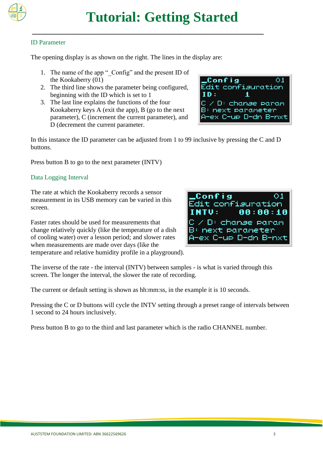

### ID Parameter

The opening display is as shown on the right. The lines in the display are:

- 1. The name of the app " Config" and the present ID of the Kookaberry (01)
- 2. The third line shows the parameter being configured, beginning with the ID which is set to 1
- 3. The last line explains the functions of the four Kookaberry keys A (exit the app), B (go to the next parameter), C (increment the current parameter), and D (decrement the current parameter.



In this instance the ID parameter can be adjusted from 1 to 99 inclusive by pressing the C and D buttons.

Press button B to go to the next parameter (INTV)

### Data Logging Interval

The rate at which the Kookaberry records a sensor measurement in its USB memory can be varied in this screen.

Faster rates should be used for measurements that change relatively quickly (like the temperature of a dish of cooling water) over a lesson period; and slower rates when measurements are made over days (like the temperature and relative humidity profile in a playground).



The inverse of the rate - the interval (INTV) between samples - is what is varied through this screen. The longer the interval, the slower the rate of recording.

The current or default setting is shown as hh:mm:ss, in the example it is 10 seconds.

Pressing the C or D buttons will cycle the INTV setting through a preset range of intervals between 1 second to 24 hours inclusively.

Press button B to go to the third and last parameter which is the radio CHANNEL number.